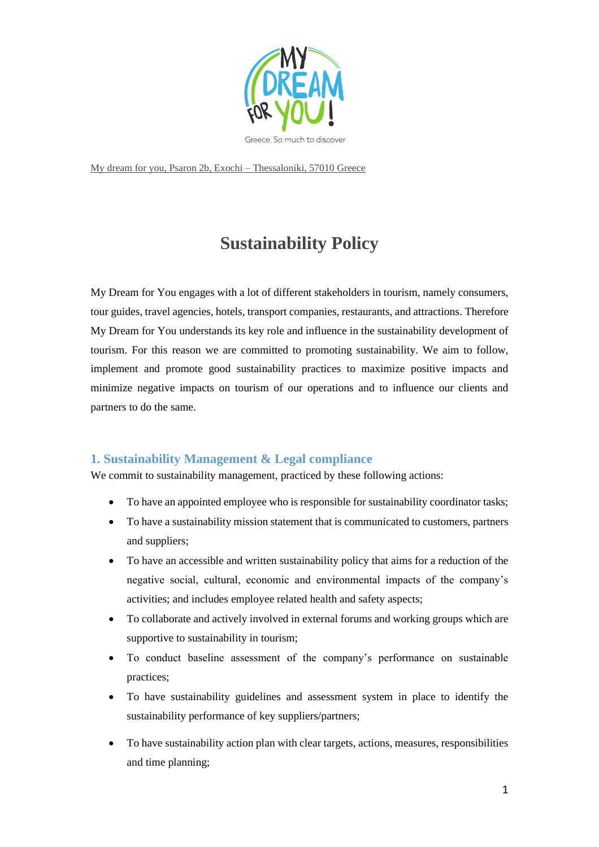

My dream for you, Psaron 2b, Exochi – Thessaloniki, 57010 Greece

# **Sustainability Policy**

My Dream for You engages with a lot of different stakeholders in tourism, namely consumers, tour guides, travel agencies, hotels, transport companies, restaurants, and attractions. Therefore My Dream for You understands its key role and influence in the sustainability development of tourism. For this reason we are committed to promoting sustainability. We aim to follow, implement and promote good sustainability practices to maximize positive impacts and minimize negative impacts on tourism of our operations and to influence our clients and partners to do the same.

## **1. Sustainability Management & Legal compliance**

We commit to sustainability management, practiced by these following actions:

- To have an appointed employee who is responsible for sustainability coordinator tasks;
- To have a sustainability mission statement that is communicated to customers, partners and suppliers;
- To have an accessible and written sustainability policy that aims for a reduction of the negative social, cultural, economic and environmental impacts of the company's activities; and includes employee related health and safety aspects;
- To collaborate and actively involved in external forums and working groups which are supportive to sustainability in tourism;
- To conduct baseline assessment of the company's performance on sustainable practices;
- To have sustainability guidelines and assessment system in place to identify the sustainability performance of key suppliers/partners;
- To have sustainability action plan with clear targets, actions, measures, responsibilities and time planning;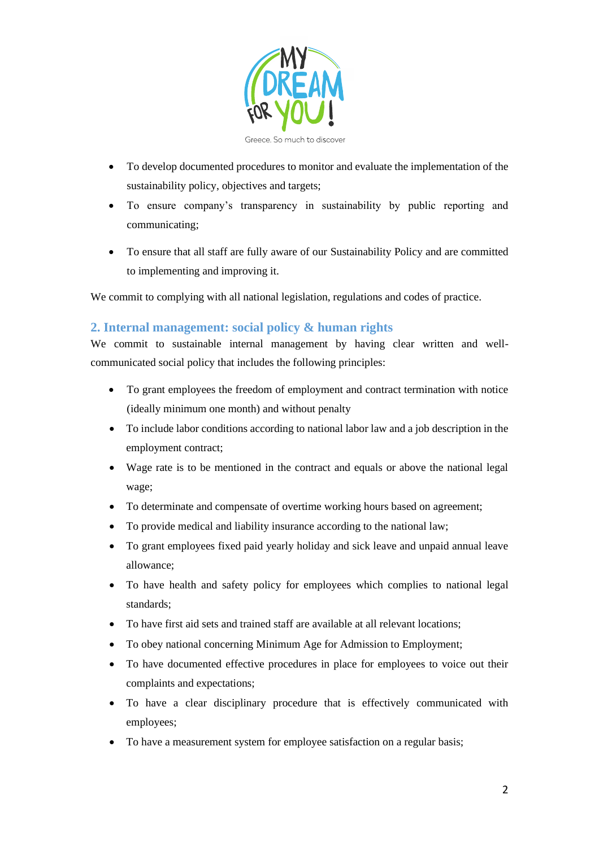

- To develop documented procedures to monitor and evaluate the implementation of the sustainability policy, objectives and targets;
- To ensure company's transparency in sustainability by public reporting and communicating;
- To ensure that all staff are fully aware of our Sustainability Policy and are committed to implementing and improving it.

We commit to complying with all national legislation, regulations and codes of practice.

## **2. Internal management: social policy & human rights**

We commit to sustainable internal management by having clear written and wellcommunicated social policy that includes the following principles:

- To grant employees the freedom of employment and contract termination with notice (ideally minimum one month) and without penalty
- To include labor conditions according to national labor law and a job description in the employment contract;
- Wage rate is to be mentioned in the contract and equals or above the national legal wage;
- To determinate and compensate of overtime working hours based on agreement;
- To provide medical and liability insurance according to the national law;
- To grant employees fixed paid yearly holiday and sick leave and unpaid annual leave allowance;
- To have health and safety policy for employees which complies to national legal standards;
- To have first aid sets and trained staff are available at all relevant locations;
- To obey national concerning Minimum Age for Admission to Employment;
- To have documented effective procedures in place for employees to voice out their complaints and expectations;
- To have a clear disciplinary procedure that is effectively communicated with employees;
- To have a measurement system for employee satisfaction on a regular basis;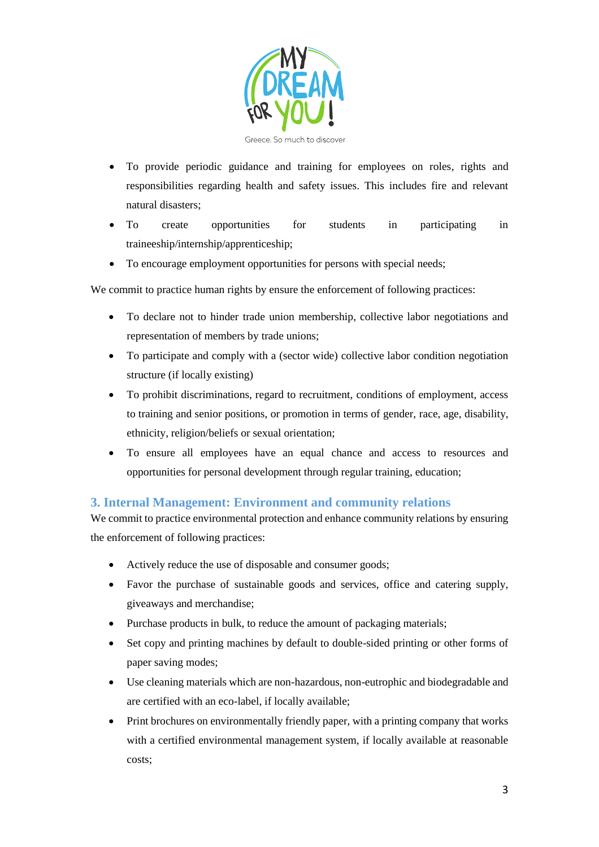

- To provide periodic guidance and training for employees on roles, rights and responsibilities regarding health and safety issues. This includes fire and relevant natural disasters;
- To create opportunities for students in participating in traineeship/internship/apprenticeship;
- To encourage employment opportunities for persons with special needs;

We commit to practice human rights by ensure the enforcement of following practices:

- To declare not to hinder trade union membership, collective labor negotiations and representation of members by trade unions;
- To participate and comply with a (sector wide) collective labor condition negotiation structure (if locally existing)
- To prohibit discriminations, regard to recruitment, conditions of employment, access to training and senior positions, or promotion in terms of gender, race, age, disability, ethnicity, religion/beliefs or sexual orientation;
- To ensure all employees have an equal chance and access to resources and opportunities for personal development through regular training, education;

## **3. Internal Management: Environment and community relations**

We commit to practice environmental protection and enhance community relations by ensuring the enforcement of following practices:

- Actively reduce the use of disposable and consumer goods;
- Favor the purchase of sustainable goods and services, office and catering supply, giveaways and merchandise;
- Purchase products in bulk, to reduce the amount of packaging materials;
- Set copy and printing machines by default to double-sided printing or other forms of paper saving modes;
- Use cleaning materials which are non-hazardous, non-eutrophic and biodegradable and are certified with an eco-label, if locally available;
- Print brochures on environmentally friendly paper, with a printing company that works with a certified environmental management system, if locally available at reasonable costs;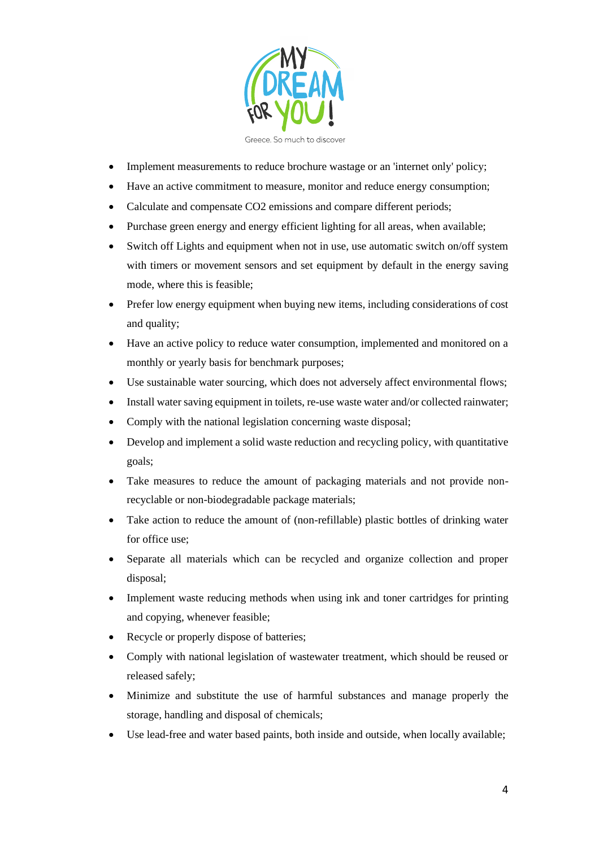

• Implement measurements to reduce brochure wastage or an 'internet only' policy;

- Have an active commitment to measure, monitor and reduce energy consumption;
- Calculate and compensate CO2 emissions and compare different periods;
- Purchase green energy and energy efficient lighting for all areas, when available;
- Switch off Lights and equipment when not in use, use automatic switch on/off system with timers or movement sensors and set equipment by default in the energy saving mode, where this is feasible;
- Prefer low energy equipment when buying new items, including considerations of cost and quality;
- Have an active policy to reduce water consumption, implemented and monitored on a monthly or yearly basis for benchmark purposes;
- Use sustainable water sourcing, which does not adversely affect environmental flows;
- Install water saving equipment in toilets, re-use waste water and/or collected rainwater;
- Comply with the national legislation concerning waste disposal;
- Develop and implement a solid waste reduction and recycling policy, with quantitative goals;
- Take measures to reduce the amount of packaging materials and not provide nonrecyclable or non-biodegradable package materials;
- Take action to reduce the amount of (non-refillable) plastic bottles of drinking water for office use;
- Separate all materials which can be recycled and organize collection and proper disposal;
- Implement waste reducing methods when using ink and toner cartridges for printing and copying, whenever feasible;
- Recycle or properly dispose of batteries;
- Comply with national legislation of wastewater treatment, which should be reused or released safely;
- Minimize and substitute the use of harmful substances and manage properly the storage, handling and disposal of chemicals;
- Use lead-free and water based paints, both inside and outside, when locally available;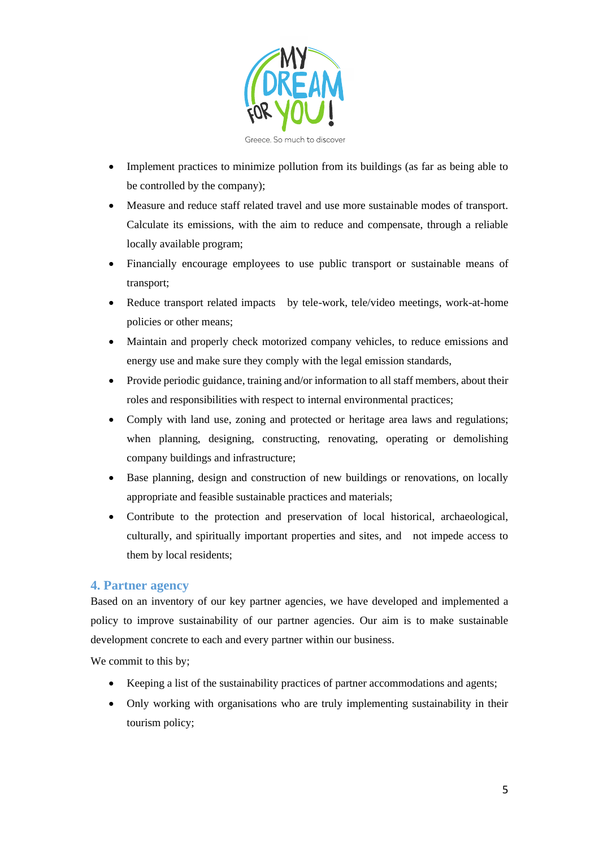

- Implement practices to minimize pollution from its buildings (as far as being able to be controlled by the company);
- Measure and reduce staff related travel and use more sustainable modes of transport. Calculate its emissions, with the aim to reduce and compensate, through a reliable locally available program;
- Financially encourage employees to use public transport or sustainable means of transport;
- Reduce transport related impacts by tele-work, tele/video meetings, work-at-home policies or other means;
- Maintain and properly check motorized company vehicles, to reduce emissions and energy use and make sure they comply with the legal emission standards,
- Provide periodic guidance, training and/or information to all staff members, about their roles and responsibilities with respect to internal environmental practices;
- Comply with land use, zoning and protected or heritage area laws and regulations; when planning, designing, constructing, renovating, operating or demolishing company buildings and infrastructure;
- Base planning, design and construction of new buildings or renovations, on locally appropriate and feasible sustainable practices and materials;
- Contribute to the protection and preservation of local historical, archaeological, culturally, and spiritually important properties and sites, and not impede access to them by local residents;

## **4. Partner agency**

Based on an inventory of our key partner agencies, we have developed and implemented a policy to improve sustainability of our partner agencies. Our aim is to make sustainable development concrete to each and every partner within our business.

We commit to this by;

- Keeping a list of the sustainability practices of partner accommodations and agents;
- Only working with organisations who are truly implementing sustainability in their tourism policy;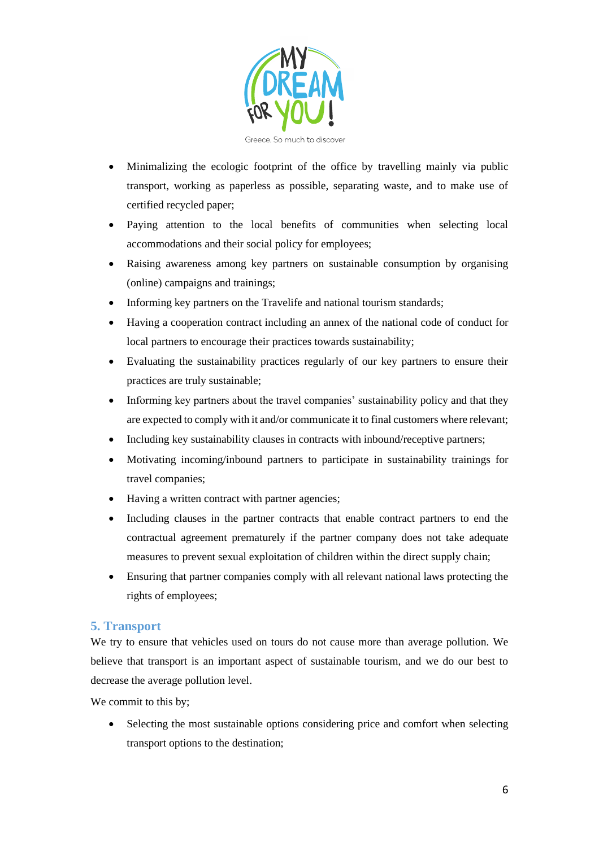

- Minimalizing the ecologic footprint of the office by travelling mainly via public transport, working as paperless as possible, separating waste, and to make use of certified recycled paper;
- Paying attention to the local benefits of communities when selecting local accommodations and their social policy for employees;
- Raising awareness among key partners on sustainable consumption by organising (online) campaigns and trainings;
- Informing key partners on the Travelife and national tourism standards;
- Having a cooperation contract including an annex of the national code of conduct for local partners to encourage their practices towards sustainability;
- Evaluating the sustainability practices regularly of our key partners to ensure their practices are truly sustainable;
- Informing key partners about the travel companies' sustainability policy and that they are expected to comply with it and/or communicate it to final customers where relevant;
- Including key sustainability clauses in contracts with inbound/receptive partners;
- Motivating incoming/inbound partners to participate in sustainability trainings for travel companies;
- Having a written contract with partner agencies;
- Including clauses in the partner contracts that enable contract partners to end the contractual agreement prematurely if the partner company does not take adequate measures to prevent sexual exploitation of children within the direct supply chain;
- Ensuring that partner companies comply with all relevant national laws protecting the rights of employees;

## **5. Transport**

We try to ensure that vehicles used on tours do not cause more than average pollution. We believe that transport is an important aspect of sustainable tourism, and we do our best to decrease the average pollution level.

We commit to this by;

• Selecting the most sustainable options considering price and comfort when selecting transport options to the destination;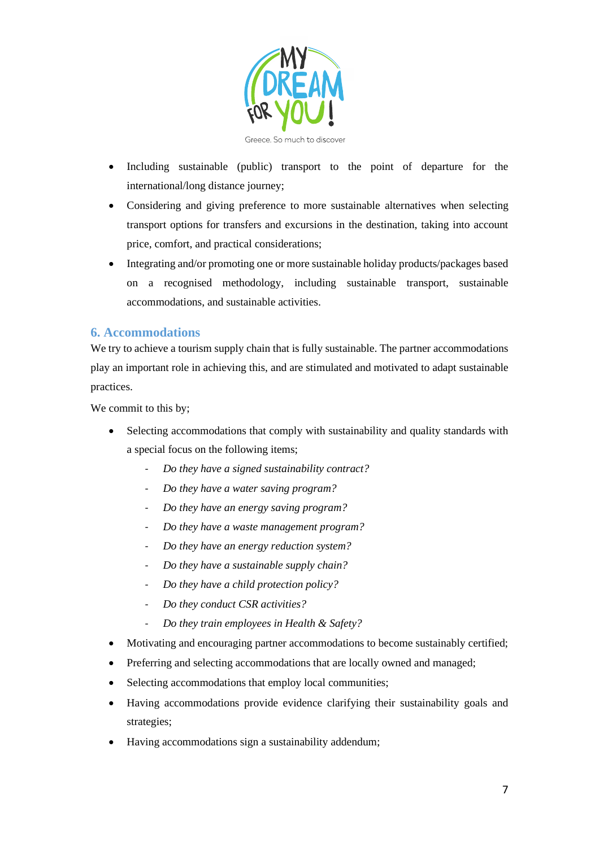

- Including sustainable (public) transport to the point of departure for the international/long distance journey;
- Considering and giving preference to more sustainable alternatives when selecting transport options for transfers and excursions in the destination, taking into account price, comfort, and practical considerations;
- Integrating and/or promoting one or more sustainable holiday products/packages based on a recognised methodology, including sustainable transport, sustainable accommodations, and sustainable activities.

## **6. Accommodations**

We try to achieve a tourism supply chain that is fully sustainable. The partner accommodations play an important role in achieving this, and are stimulated and motivated to adapt sustainable practices.

We commit to this by;

- Selecting accommodations that comply with sustainability and quality standards with a special focus on the following items;
	- *Do they have a signed sustainability contract?*
	- *Do they have a water saving program?*
	- *Do they have an energy saving program?*
	- *Do they have a waste management program?*
	- *Do they have an energy reduction system?*
	- *Do they have a sustainable supply chain?*
	- *Do they have a child protection policy?*
	- *Do they conduct CSR activities?*
	- *Do they train employees in Health & Safety?*
- Motivating and encouraging partner accommodations to become sustainably certified;
- Preferring and selecting accommodations that are locally owned and managed;
- Selecting accommodations that employ local communities;
- Having accommodations provide evidence clarifying their sustainability goals and strategies;
- Having accommodations sign a sustainability addendum;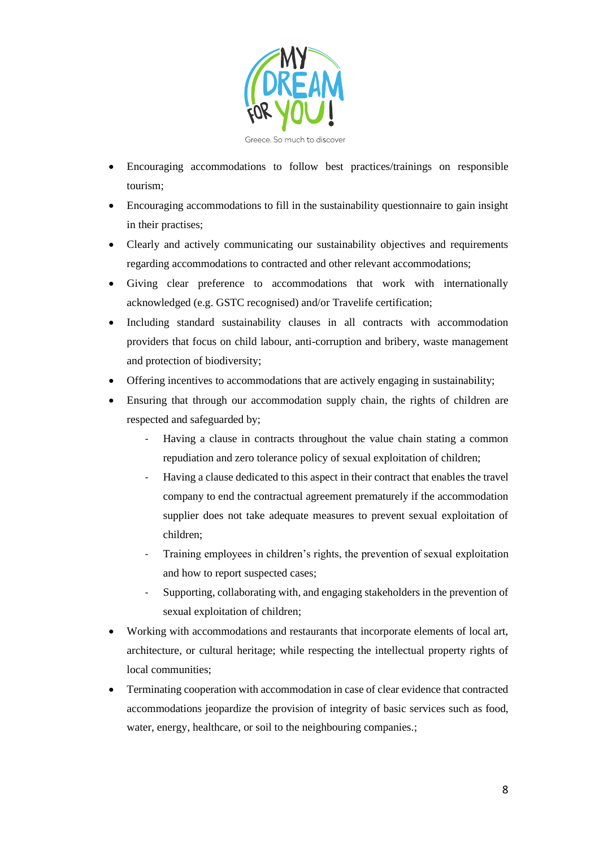

- Encouraging accommodations to follow best practices/trainings on responsible tourism;
- Encouraging accommodations to fill in the sustainability questionnaire to gain insight in their practises;
- Clearly and actively communicating our sustainability objectives and requirements regarding accommodations to contracted and other relevant accommodations;
- Giving clear preference to accommodations that work with internationally acknowledged (e.g. GSTC recognised) and/or Travelife certification;
- Including standard sustainability clauses in all contracts with accommodation providers that focus on child labour, anti-corruption and bribery, waste management and protection of biodiversity;
- Offering incentives to accommodations that are actively engaging in sustainability;
- Ensuring that through our accommodation supply chain, the rights of children are respected and safeguarded by;
	- Having a clause in contracts throughout the value chain stating a common repudiation and zero tolerance policy of sexual exploitation of children;
	- Having a clause dedicated to this aspect in their contract that enables the travel company to end the contractual agreement prematurely if the accommodation supplier does not take adequate measures to prevent sexual exploitation of children;
	- Training employees in children's rights, the prevention of sexual exploitation and how to report suspected cases;
	- Supporting, collaborating with, and engaging stakeholders in the prevention of sexual exploitation of children;
- Working with accommodations and restaurants that incorporate elements of local art, architecture, or cultural heritage; while respecting the intellectual property rights of local communities;
- Terminating cooperation with accommodation in case of clear evidence that contracted accommodations jeopardize the provision of integrity of basic services such as food, water, energy, healthcare, or soil to the neighbouring companies.;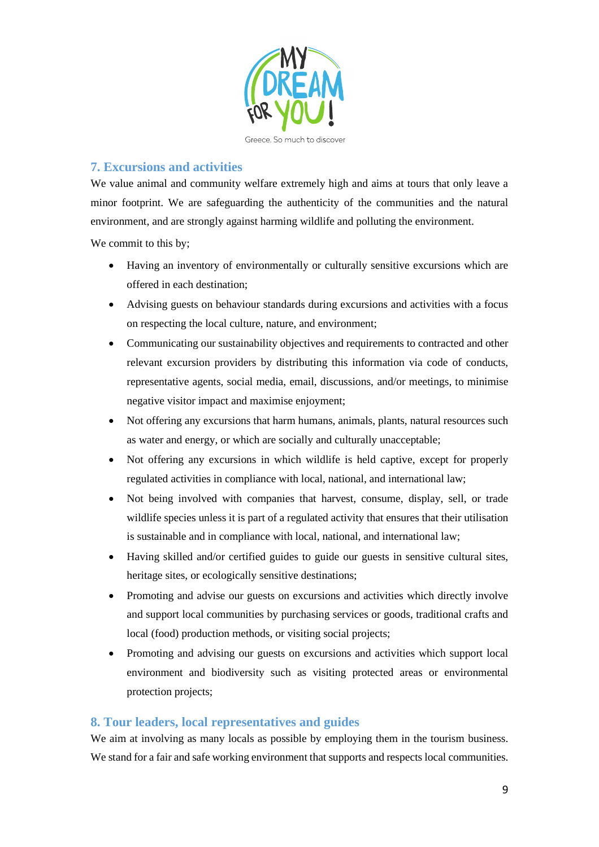

# **7. Excursions and activities**

We value animal and community welfare extremely high and aims at tours that only leave a minor footprint. We are safeguarding the authenticity of the communities and the natural environment, and are strongly against harming wildlife and polluting the environment.

We commit to this by;

- Having an inventory of environmentally or culturally sensitive excursions which are offered in each destination;
- Advising guests on behaviour standards during excursions and activities with a focus on respecting the local culture, nature, and environment;
- Communicating our sustainability objectives and requirements to contracted and other relevant excursion providers by distributing this information via code of conducts, representative agents, social media, email, discussions, and/or meetings, to minimise negative visitor impact and maximise enjoyment;
- Not offering any excursions that harm humans, animals, plants, natural resources such as water and energy, or which are socially and culturally unacceptable;
- Not offering any excursions in which wildlife is held captive, except for properly regulated activities in compliance with local, national, and international law;
- Not being involved with companies that harvest, consume, display, sell, or trade wildlife species unless it is part of a regulated activity that ensures that their utilisation is sustainable and in compliance with local, national, and international law;
- Having skilled and/or certified guides to guide our guests in sensitive cultural sites, heritage sites, or ecologically sensitive destinations;
- Promoting and advise our guests on excursions and activities which directly involve and support local communities by purchasing services or goods, traditional crafts and local (food) production methods, or visiting social projects;
- Promoting and advising our guests on excursions and activities which support local environment and biodiversity such as visiting protected areas or environmental protection projects;

## **8. Tour leaders, local representatives and guides**

We aim at involving as many locals as possible by employing them in the tourism business. We stand for a fair and safe working environment that supports and respects local communities.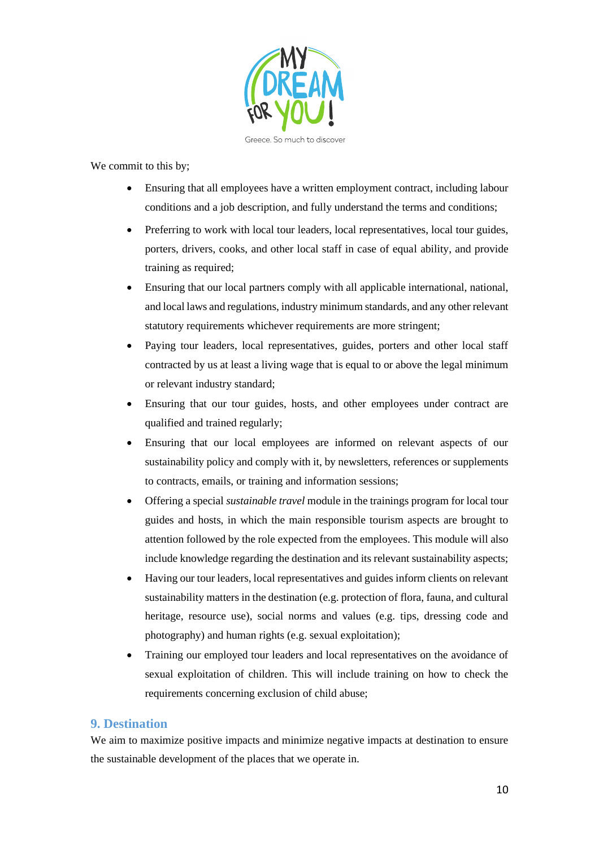

We commit to this by;

- Ensuring that all employees have a written employment contract, including labour conditions and a job description, and fully understand the terms and conditions;
- Preferring to work with local tour leaders, local representatives, local tour guides, porters, drivers, cooks, and other local staff in case of equal ability, and provide training as required;
- Ensuring that our local partners comply with all applicable international, national, and local laws and regulations, industry minimum standards, and any other relevant statutory requirements whichever requirements are more stringent;
- Paying tour leaders, local representatives, guides, porters and other local staff contracted by us at least a living wage that is equal to or above the legal minimum or relevant industry standard;
- Ensuring that our tour guides, hosts, and other employees under contract are qualified and trained regularly;
- Ensuring that our local employees are informed on relevant aspects of our sustainability policy and comply with it, by newsletters, references or supplements to contracts, emails, or training and information sessions;
- Offering a special *sustainable travel* module in the trainings program for local tour guides and hosts, in which the main responsible tourism aspects are brought to attention followed by the role expected from the employees. This module will also include knowledge regarding the destination and its relevant sustainability aspects;
- Having our tour leaders, local representatives and guides inform clients on relevant sustainability matters in the destination (e.g. protection of flora, fauna, and cultural heritage, resource use), social norms and values (e.g. tips, dressing code and photography) and human rights (e.g. sexual exploitation);
- Training our employed tour leaders and local representatives on the avoidance of sexual exploitation of children. This will include training on how to check the requirements concerning exclusion of child abuse;

#### **9. Destination**

We aim to maximize positive impacts and minimize negative impacts at destination to ensure the sustainable development of the places that we operate in.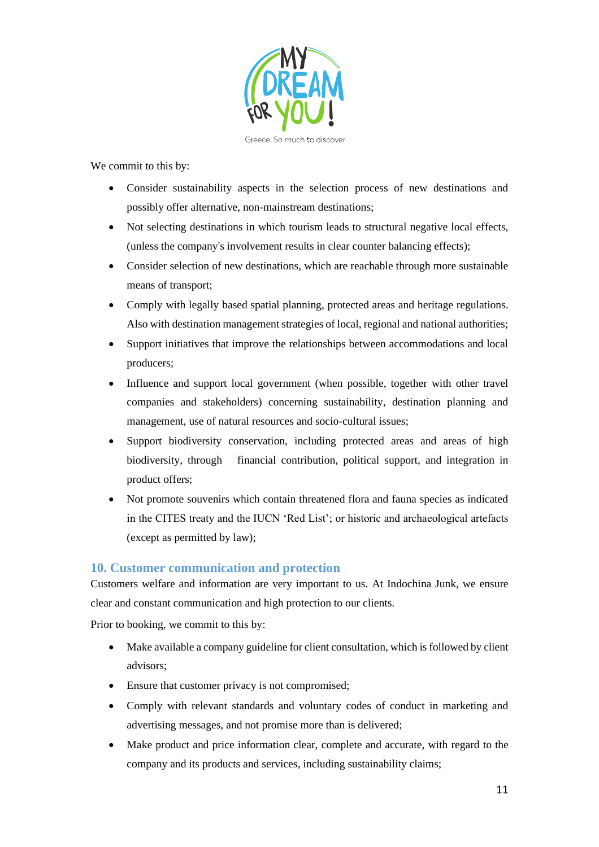

We commit to this by:

- Consider sustainability aspects in the selection process of new destinations and possibly offer alternative, non-mainstream destinations;
- Not selecting destinations in which tourism leads to structural negative local effects, (unless the company's involvement results in clear counter balancing effects);
- Consider selection of new destinations, which are reachable through more sustainable means of transport;
- Comply with legally based spatial planning, protected areas and heritage regulations. Also with destination management strategies of local, regional and national authorities;
- Support initiatives that improve the relationships between accommodations and local producers;
- Influence and support local government (when possible, together with other travel companies and stakeholders) concerning sustainability, destination planning and management, use of natural resources and socio-cultural issues;
- Support biodiversity conservation, including protected areas and areas of high biodiversity, through financial contribution, political support, and integration in product offers;
- Not promote souvenirs which contain threatened flora and fauna species as indicated in the CITES treaty and the IUCN 'Red List'; or historic and archaeological artefacts (except as permitted by law);

#### **10. Customer communication and protection**

Customers welfare and information are very important to us. At Indochina Junk, we ensure clear and constant communication and high protection to our clients.

Prior to booking, we commit to this by:

- Make available a company guideline for client consultation, which is followed by client advisors;
- Ensure that customer privacy is not compromised;
- Comply with relevant standards and voluntary codes of conduct in marketing and advertising messages, and not promise more than is delivered;
- Make product and price information clear, complete and accurate, with regard to the company and its products and services, including sustainability claims;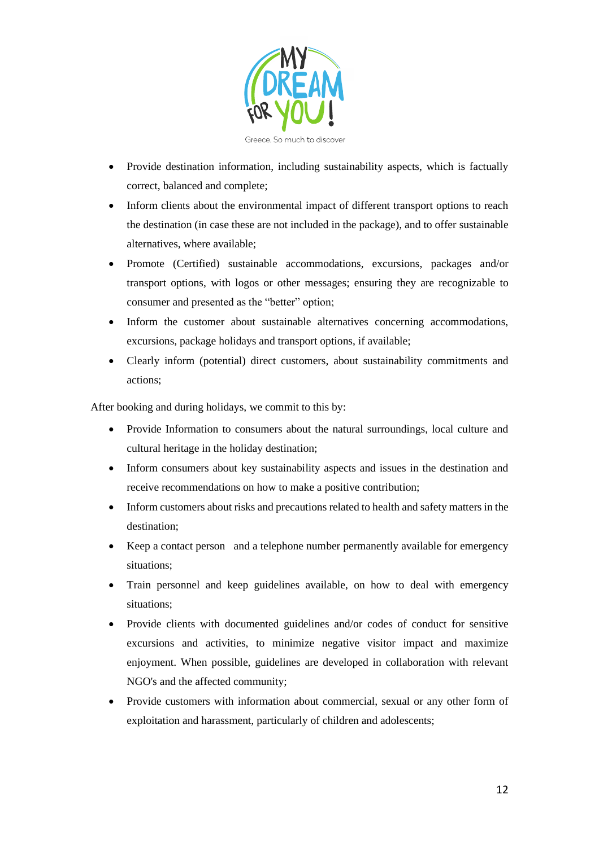

- Provide destination information, including sustainability aspects, which is factually correct, balanced and complete;
- Inform clients about the environmental impact of different transport options to reach the destination (in case these are not included in the package), and to offer sustainable alternatives, where available;
- Promote (Certified) sustainable accommodations, excursions, packages and/or transport options, with logos or other messages; ensuring they are recognizable to consumer and presented as the "better" option;
- Inform the customer about sustainable alternatives concerning accommodations, excursions, package holidays and transport options, if available;
- Clearly inform (potential) direct customers, about sustainability commitments and actions;

After booking and during holidays, we commit to this by:

- Provide Information to consumers about the natural surroundings, local culture and cultural heritage in the holiday destination;
- Inform consumers about key sustainability aspects and issues in the destination and receive recommendations on how to make a positive contribution;
- Inform customers about risks and precautions related to health and safety matters in the destination;
- Keep a contact person and a telephone number permanently available for emergency situations;
- Train personnel and keep guidelines available, on how to deal with emergency situations;
- Provide clients with documented guidelines and/or codes of conduct for sensitive excursions and activities, to minimize negative visitor impact and maximize enjoyment. When possible, guidelines are developed in collaboration with relevant NGO's and the affected community;
- Provide customers with information about commercial, sexual or any other form of exploitation and harassment, particularly of children and adolescents;